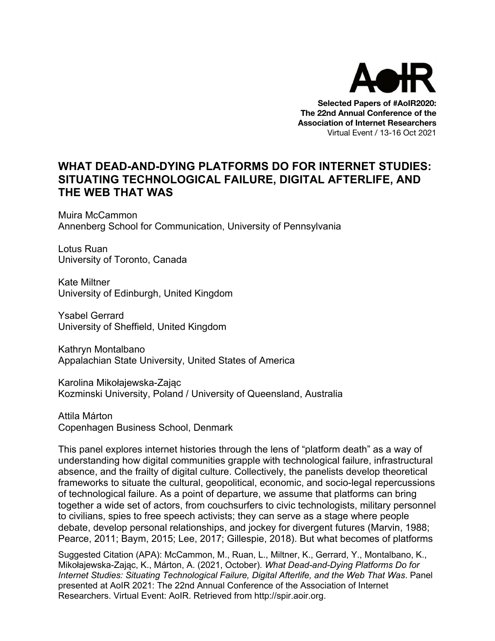

**Selected Papers of #AoIR2020: The 22nd Annual Conference of the Association of Internet Researchers** Virtual Event / 13-16 Oct 2021

### **WHAT DEAD-AND-DYING PLATFORMS DO FOR INTERNET STUDIES: SITUATING TECHNOLOGICAL FAILURE, DIGITAL AFTERLIFE, AND THE WEB THAT WAS**

Muira McCammon Annenberg School for Communication, University of Pennsylvania

Lotus Ruan University of Toronto, Canada

Kate Miltner University of Edinburgh, United Kingdom

Ysabel Gerrard University of Sheffield, United Kingdom

Kathryn Montalbano Appalachian State University, United States of America

Karolina Mikołajewska-Zając Kozminski University, Poland / University of Queensland, Australia

Attila Márton Copenhagen Business School, Denmark

This panel explores internet histories through the lens of "platform death" as a way of understanding how digital communities grapple with technological failure, infrastructural absence, and the frailty of digital culture. Collectively, the panelists develop theoretical frameworks to situate the cultural, geopolitical, economic, and socio-legal repercussions of technological failure. As a point of departure, we assume that platforms can bring together a wide set of actors, from couchsurfers to civic technologists, military personnel to civilians, spies to free speech activists; they can serve as a stage where people debate, develop personal relationships, and jockey for divergent futures (Marvin, 1988; Pearce, 2011; Baym, 2015; Lee, 2017; Gillespie, 2018). But what becomes of platforms

Suggested Citation (APA): McCammon, M., Ruan, L., Miltner, K., Gerrard, Y., Montalbano, K., Mikołajewska-Zając, K., Márton, A. (2021, October). *What Dead-and-Dying Platforms Do for Internet Studies: Situating Technological Failure, Digital Afterlife, and the Web That Was*. Panel presented at AoIR 2021: The 22nd Annual Conference of the Association of Internet Researchers. Virtual Event: AoIR. Retrieved from http://spir.aoir.org.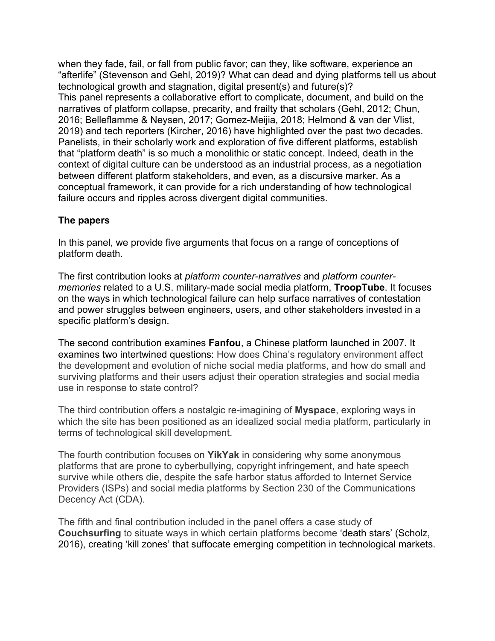when they fade, fail, or fall from public favor; can they, like software, experience an "afterlife" (Stevenson and Gehl, 2019)? What can dead and dying platforms tell us about technological growth and stagnation, digital present(s) and future(s)? This panel represents a collaborative effort to complicate, document, and build on the narratives of platform collapse, precarity, and frailty that scholars (Gehl, 2012; Chun, 2016; Belleflamme & Neysen, 2017; Gomez-Meijia, 2018; Helmond & van der Vlist, 2019) and tech reporters (Kircher, 2016) have highlighted over the past two decades. Panelists, in their scholarly work and exploration of five different platforms, establish that "platform death" is so much a monolithic or static concept. Indeed, death in the context of digital culture can be understood as an industrial process, as a negotiation between different platform stakeholders, and even, as a discursive marker. As a conceptual framework, it can provide for a rich understanding of how technological failure occurs and ripples across divergent digital communities.

### **The papers**

In this panel, we provide five arguments that focus on a range of conceptions of platform death.

The first contribution looks at *platform counter-narratives* and *platform countermemories* related to a U.S. military-made social media platform, **TroopTube**. It focuses on the ways in which technological failure can help surface narratives of contestation and power struggles between engineers, users, and other stakeholders invested in a specific platform's design.

The second contribution examines **Fanfou**, a Chinese platform launched in 2007. It examines two intertwined questions: How does China's regulatory environment affect the development and evolution of niche social media platforms, and how do small and surviving platforms and their users adjust their operation strategies and social media use in response to state control?

The third contribution offers a nostalgic re-imagining of **Myspace**, exploring ways in which the site has been positioned as an idealized social media platform, particularly in terms of technological skill development.

The fourth contribution focuses on **YikYak** in considering why some anonymous platforms that are prone to cyberbullying, copyright infringement, and hate speech survive while others die, despite the safe harbor status afforded to Internet Service Providers (ISPs) and social media platforms by Section 230 of the Communications Decency Act (CDA).

The fifth and final contribution included in the panel offers a case study of **Couchsurfing** to situate ways in which certain platforms become 'death stars' (Scholz, 2016), creating 'kill zones' that suffocate emerging competition in technological markets.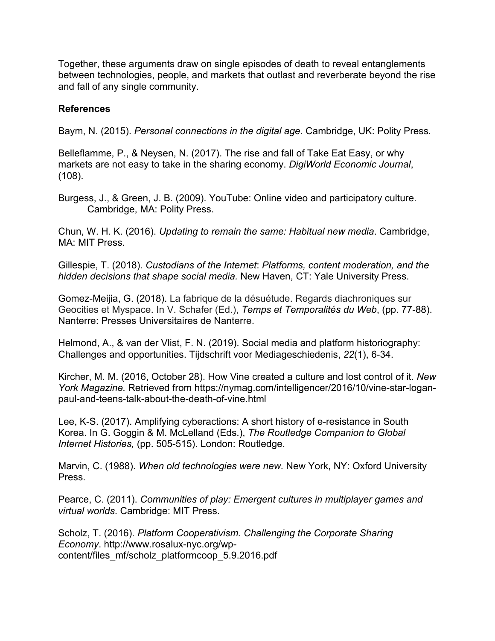Together, these arguments draw on single episodes of death to reveal entanglements between technologies, people, and markets that outlast and reverberate beyond the rise and fall of any single community.

#### **References**

Baym, N. (2015). *Personal connections in the digital age.* Cambridge, UK: Polity Press*.*

Belleflamme, P., & Neysen, N. (2017). The rise and fall of Take Eat Easy, or why markets are not easy to take in the sharing economy. *DigiWorld Economic Journal*, (108).

Burgess, J., & Green, J. B. (2009). YouTube: Online video and participatory culture. Cambridge, MA: Polity Press.

Chun, W. H. K. (2016). *Updating to remain the same: Habitual new media*. Cambridge, MA: MIT Press.

Gillespie, T. (2018). *Custodians of the Internet*: *Platforms, content moderation, and the hidden decisions that shape social media.* New Haven, CT: Yale University Press.

Gomez-Meijia, G. (2018). La fabrique de la désuétude. Regards diachroniques sur Geocities et Myspace. In V. Schafer (Ed.), *Temps et Temporalités du Web*, (pp. 77-88). Nanterre: Presses Universitaires de Nanterre.

Helmond, A., & van der Vlist, F. N. (2019). Social media and platform historiography: Challenges and opportunities. Tijdschrift voor Mediageschiedenis, *22*(1), 6-34.

Kircher, M. M. (2016, October 28). How Vine created a culture and lost control of it. *New York Magazine.* Retrieved from https://nymag.com/intelligencer/2016/10/vine-star-loganpaul-and-teens-talk-about-the-death-of-vine.html

Lee, K-S. (2017). Amplifying cyberactions: A short history of e-resistance in South Korea. In G. Goggin & M. McLelland (Eds.), *The Routledge Companion to Global Internet Histories,* (pp. 505-515). London: Routledge.

Marvin, C. (1988). *When old technologies were new.* New York, NY: Oxford University Press.

Pearce, C. (2011). *Communities of play: Emergent cultures in multiplayer games and virtual worlds*. Cambridge: MIT Press.

Scholz, T. (2016). *Platform Cooperativism. Challenging the Corporate Sharing Economy*. http://www.rosalux-nyc.org/wpcontent/files\_mf/scholz\_platformcoop\_5.9.2016.pdf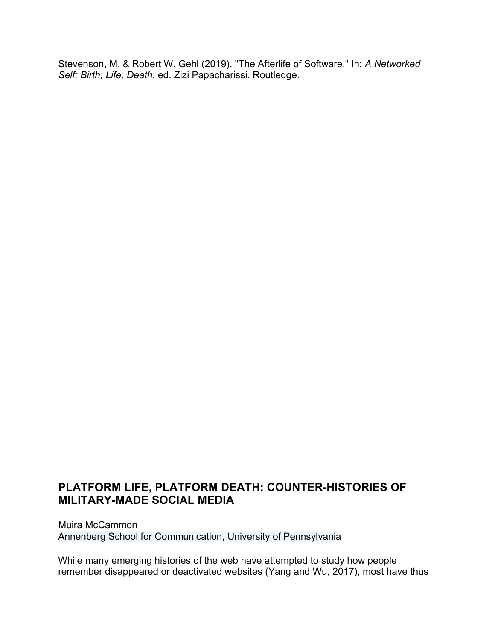Stevenson, M. & Robert W. Gehl (2019). "The Afterlife of Software." In: *A Networked Self: Birth, Life, Death*, ed. Zizi Papacharissi. Routledge.

# **PLATFORM LIFE, PLATFORM DEATH: COUNTER-HISTORIES OF MILITARY-MADE SOCIAL MEDIA**

Muira McCammon Annenberg School for Communication, University of Pennsylvania

While many emerging histories of the web have attempted to study how people remember disappeared or deactivated websites (Yang and Wu, 2017), most have thus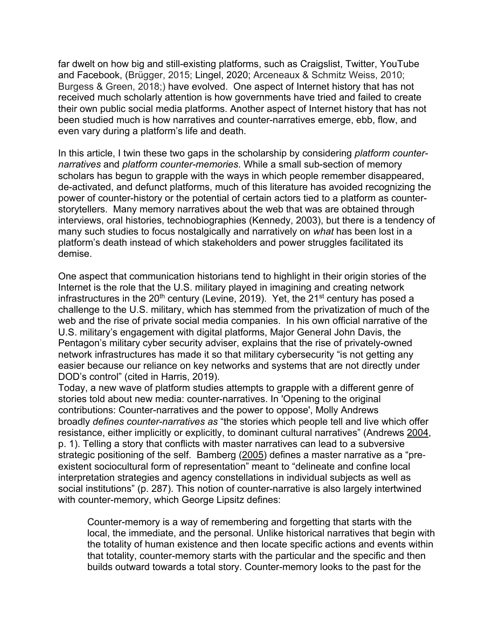far dwelt on how big and still-existing platforms, such as Craigslist, Twitter, YouTube and Facebook, (Brügger, 2015; Lingel, 2020; Arceneaux & Schmitz Weiss, 2010; Burgess & Green, 2018;) have evolved. One aspect of Internet history that has not received much scholarly attention is how governments have tried and failed to create their own public social media platforms. Another aspect of Internet history that has not been studied much is how narratives and counter-narratives emerge, ebb, flow, and even vary during a platform's life and death.

In this article, I twin these two gaps in the scholarship by considering *platform counternarratives* and *platform counter-memories*. While a small sub-section of memory scholars has begun to grapple with the ways in which people remember disappeared, de-activated, and defunct platforms, much of this literature has avoided recognizing the power of counter-history or the potential of certain actors tied to a platform as counterstorytellers. Many memory narratives about the web that was are obtained through interviews, oral histories, technobiographies (Kennedy, 2003), but there is a tendency of many such studies to focus nostalgically and narratively on *what* has been lost in a platform's death instead of which stakeholders and power struggles facilitated its demise.

One aspect that communication historians tend to highlight in their origin stories of the Internet is the role that the U.S. military played in imagining and creating network infrastructures in the  $20<sup>th</sup>$  century (Levine, 2019). Yet, the  $21<sup>st</sup>$  century has posed a challenge to the U.S. military, which has stemmed from the privatization of much of the web and the rise of private social media companies. In his own official narrative of the U.S. military's engagement with digital platforms, Major General John Davis, the Pentagon's military cyber security adviser, explains that the rise of privately-owned network infrastructures has made it so that military cybersecurity "is not getting any easier because our reliance on key networks and systems that are not directly under DOD's control" (cited in Harris, 2019).

Today, a new wave of platform studies attempts to grapple with a different genre of stories told about new media: counter-narratives. In 'Opening to the original contributions: Counter-narratives and the power to oppose', Molly Andrews broadly *defines counter-narratives as* "the stories which people tell and live which offer resistance, either implicitly or explicitly, to dominant cultural narratives" (Andrews 2004, p. 1). Telling a story that conflicts with master narratives can lead to a subversive strategic positioning of the self. Bamberg (2005) defines a master narrative as a "preexistent sociocultural form of representation" meant to "delineate and confine local interpretation strategies and agency constellations in individual subjects as well as social institutions" (p. 287). This notion of counter-narrative is also largely intertwined with counter-memory, which George Lipsitz defines:

Counter-memory is a way of remembering and forgetting that starts with the local, the immediate, and the personal. Unlike historical narratives that begin with the totality of human existence and then locate specific actions and events within that totality, counter-memory starts with the particular and the specific and then builds outward towards a total story. Counter-memory looks to the past for the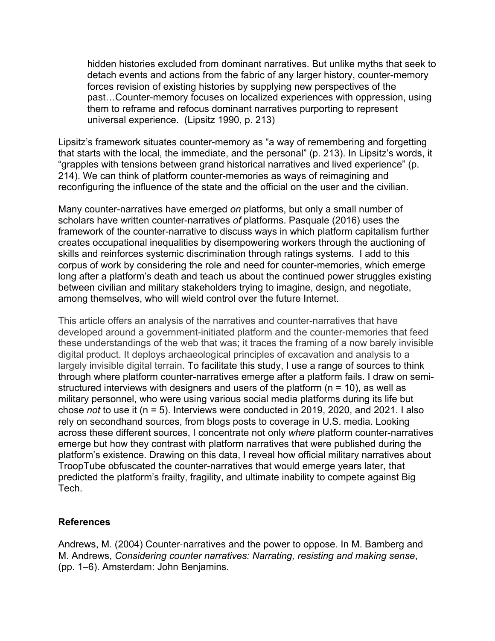hidden histories excluded from dominant narratives. But unlike myths that seek to detach events and actions from the fabric of any larger history, counter-memory forces revision of existing histories by supplying new perspectives of the past…Counter-memory focuses on localized experiences with oppression, using them to reframe and refocus dominant narratives purporting to represent universal experience. (Lipsitz 1990, p. 213)

Lipsitz's framework situates counter-memory as "a way of remembering and forgetting that starts with the local, the immediate, and the personal" (p. 213). In Lipsitz's words, it "grapples with tensions between grand historical narratives and lived experience" (p. 214). We can think of platform counter-memories as ways of reimagining and reconfiguring the influence of the state and the official on the user and the civilian.

Many counter-narratives have emerged *on* platforms, but only a small number of scholars have written counter-narratives *of* platforms. Pasquale (2016) uses the framework of the counter-narrative to discuss ways in which platform capitalism further creates occupational inequalities by disempowering workers through the auctioning of skills and reinforces systemic discrimination through ratings systems. I add to this corpus of work by considering the role and need for counter-memories, which emerge long after a platform's death and teach us about the continued power struggles existing between civilian and military stakeholders trying to imagine, design, and negotiate, among themselves, who will wield control over the future Internet.

This article offers an analysis of the narratives and counter-narratives that have developed around a government-initiated platform and the counter-memories that feed these understandings of the web that was; it traces the framing of a now barely invisible digital product. It deploys archaeological principles of excavation and analysis to a largely invisible digital terrain. To facilitate this study, I use a range of sources to think through where platform counter-narratives emerge after a platform fails. I draw on semistructured interviews with designers and users of the platform ( $n = 10$ ), as well as military personnel, who were using various social media platforms during its life but chose *not* to use it (n = 5). Interviews were conducted in 2019, 2020, and 2021. I also rely on secondhand sources, from blogs posts to coverage in U.S. media. Looking across these different sources, I concentrate not only *where* platform counter-narratives emerge but how they contrast with platform narratives that were published during the platform's existence. Drawing on this data, I reveal how official military narratives about TroopTube obfuscated the counter-narratives that would emerge years later, that predicted the platform's frailty, fragility, and ultimate inability to compete against Big Tech.

#### **References**

Andrews, M. (2004) Counter-narratives and the power to oppose. In M. Bamberg and M. Andrews, *Considering counter narratives: Narrating, resisting and making sense*, (pp. 1–6). Amsterdam: John Benjamins.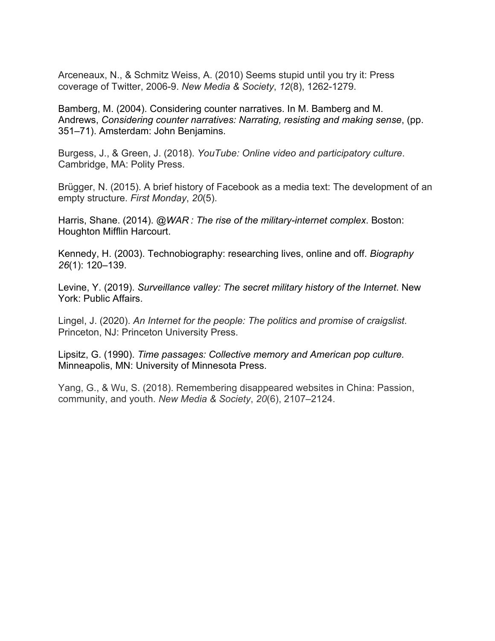Arceneaux, N., & Schmitz Weiss, A. (2010) Seems stupid until you try it: Press coverage of Twitter, 2006-9. *New Media & Society*, *12*(8), 1262-1279.

Bamberg, M. (2004). Considering counter narratives. In M. Bamberg and M. Andrews, *Considering counter narratives: Narrating, resisting and making sense*, (pp. 351–71). Amsterdam: John Benjamins.

Burgess, J., & Green, J. (2018). *YouTube: Online video and participatory culture*. Cambridge, MA: Polity Press.

Brügger, N. (2015). A brief history of Facebook as a media text: The development of an empty structure. *First Monday*, *20*(5).

Harris, Shane. (2014). *@WAR : The rise of the military-internet complex*. Boston: Houghton Mifflin Harcourt.

Kennedy, H. (2003). Technobiography: researching lives, online and off. *Biography 26*(1): 120–139.

Levine, Y. (2019). *Surveillance valley: The secret military history of the Internet*. New York: Public Affairs.

Lingel, J. (2020). *An Internet for the people: The politics and promise of craigslist*. Princeton, NJ: Princeton University Press.

Lipsitz, G. (1990). *Time passages: Collective memory and American pop culture.*  Minneapolis, MN: University of Minnesota Press.

Yang, G., & Wu, S. (2018). Remembering disappeared websites in China: Passion, community, and youth. *New Media & Society*, *20*(6), 2107–2124.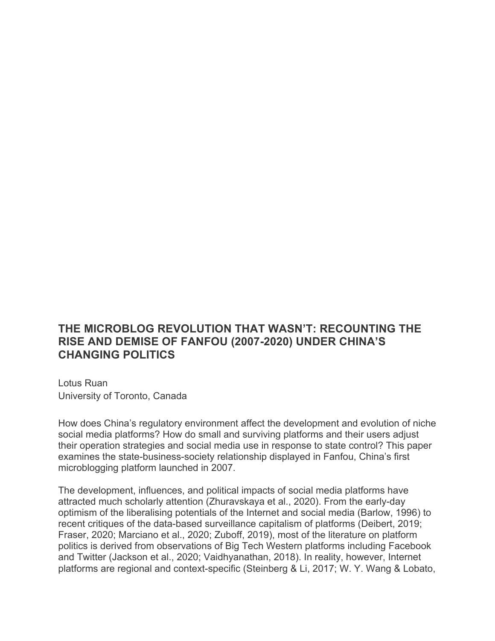### **THE MICROBLOG REVOLUTION THAT WASN'T: RECOUNTING THE RISE AND DEMISE OF FANFOU (2007-2020) UNDER CHINA'S CHANGING POLITICS**

Lotus Ruan University of Toronto, Canada

How does China's regulatory environment affect the development and evolution of niche social media platforms? How do small and surviving platforms and their users adjust their operation strategies and social media use in response to state control? This paper examines the state-business-society relationship displayed in Fanfou, China's first microblogging platform launched in 2007.

The development, influences, and political impacts of social media platforms have attracted much scholarly attention (Zhuravskaya et al., 2020). From the early-day optimism of the liberalising potentials of the Internet and social media (Barlow, 1996) to recent critiques of the data-based surveillance capitalism of platforms (Deibert, 2019; Fraser, 2020; Marciano et al., 2020; Zuboff, 2019), most of the literature on platform politics is derived from observations of Big Tech Western platforms including Facebook and Twitter (Jackson et al., 2020; Vaidhyanathan, 2018). In reality, however, Internet platforms are regional and context-specific (Steinberg & Li, 2017; W. Y. Wang & Lobato,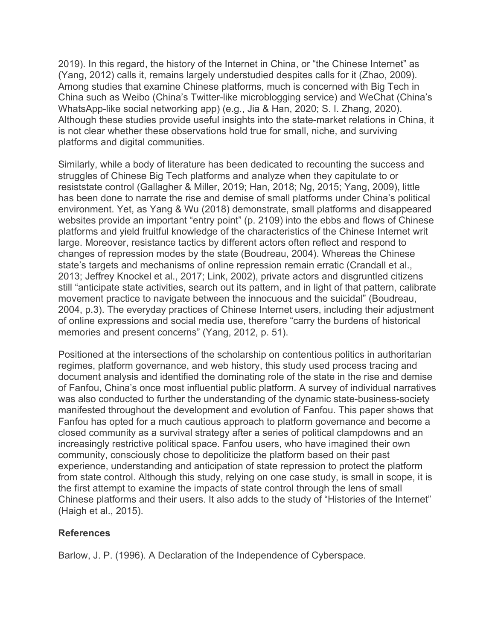2019). In this regard, the history of the Internet in China, or "the Chinese Internet" as (Yang, 2012) calls it, remains largely understudied despites calls for it (Zhao, 2009). Among studies that examine Chinese platforms, much is concerned with Big Tech in China such as Weibo (China's Twitter-like microblogging service) and WeChat (China's WhatsApp-like social networking app) (e.g., Jia & Han, 2020; S. I. Zhang, 2020). Although these studies provide useful insights into the state-market relations in China, it is not clear whether these observations hold true for small, niche, and surviving platforms and digital communities.

Similarly, while a body of literature has been dedicated to recounting the success and struggles of Chinese Big Tech platforms and analyze when they capitulate to or resiststate control (Gallagher & Miller, 2019; Han, 2018; Ng, 2015; Yang, 2009), little has been done to narrate the rise and demise of small platforms under China's political environment. Yet, as Yang & Wu (2018) demonstrate, small platforms and disappeared websites provide an important "entry point" (p. 2109) into the ebbs and flows of Chinese platforms and yield fruitful knowledge of the characteristics of the Chinese Internet writ large. Moreover, resistance tactics by different actors often reflect and respond to changes of repression modes by the state (Boudreau, 2004). Whereas the Chinese state's targets and mechanisms of online repression remain erratic (Crandall et al., 2013; Jeffrey Knockel et al., 2017; Link, 2002), private actors and disgruntled citizens still "anticipate state activities, search out its pattern, and in light of that pattern, calibrate movement practice to navigate between the innocuous and the suicidal" (Boudreau, 2004, p.3). The everyday practices of Chinese Internet users, including their adjustment of online expressions and social media use, therefore "carry the burdens of historical memories and present concerns" (Yang, 2012, p. 51).

Positioned at the intersections of the scholarship on contentious politics in authoritarian regimes, platform governance, and web history, this study used process tracing and document analysis and identified the dominating role of the state in the rise and demise of Fanfou, China's once most influential public platform. A survey of individual narratives was also conducted to further the understanding of the dynamic state-business-society manifested throughout the development and evolution of Fanfou. This paper shows that Fanfou has opted for a much cautious approach to platform governance and become a closed community as a survival strategy after a series of political clampdowns and an increasingly restrictive political space. Fanfou users, who have imagined their own community, consciously chose to depoliticize the platform based on their past experience, understanding and anticipation of state repression to protect the platform from state control. Although this study, relying on one case study, is small in scope, it is the first attempt to examine the impacts of state control through the lens of small Chinese platforms and their users. It also adds to the study of "Histories of the Internet" (Haigh et al., 2015).

### **References**

Barlow, J. P. (1996). A Declaration of the Independence of Cyberspace.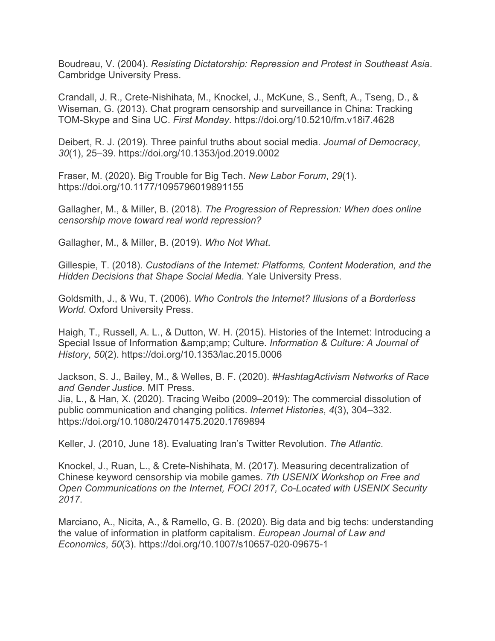Boudreau, V. (2004). *Resisting Dictatorship: Repression and Protest in Southeast Asia*. Cambridge University Press.

Crandall, J. R., Crete-Nishihata, M., Knockel, J., McKune, S., Senft, A., Tseng, D., & Wiseman, G. (2013). Chat program censorship and surveillance in China: Tracking TOM-Skype and Sina UC. *First Monday*. https://doi.org/10.5210/fm.v18i7.4628

Deibert, R. J. (2019). Three painful truths about social media. *Journal of Democracy*, *30*(1), 25–39. https://doi.org/10.1353/jod.2019.0002

Fraser, M. (2020). Big Trouble for Big Tech. *New Labor Forum*, *29*(1). https://doi.org/10.1177/1095796019891155

Gallagher, M., & Miller, B. (2018). *The Progression of Repression: When does online censorship move toward real world repression?*

Gallagher, M., & Miller, B. (2019). *Who Not What*.

Gillespie, T. (2018). *Custodians of the Internet: Platforms, Content Moderation, and the Hidden Decisions that Shape Social Media*. Yale University Press.

Goldsmith, J., & Wu, T. (2006). *Who Controls the Internet? Illusions of a Borderless World*. Oxford University Press.

Haigh, T., Russell, A. L., & Dutton, W. H. (2015). Histories of the Internet: Introducing a Special Issue of Information & Culture. *Information & Culture: A Journal of History*, *50*(2). https://doi.org/10.1353/lac.2015.0006

Jackson, S. J., Bailey, M., & Welles, B. F. (2020). *#HashtagActivism Networks of Race and Gender Justice*. MIT Press.

Jia, L., & Han, X. (2020). Tracing Weibo (2009–2019): The commercial dissolution of public communication and changing politics. *Internet Histories*, *4*(3), 304–332. https://doi.org/10.1080/24701475.2020.1769894

Keller, J. (2010, June 18). Evaluating Iran's Twitter Revolution. *The Atlantic*.

Knockel, J., Ruan, L., & Crete-Nishihata, M. (2017). Measuring decentralization of Chinese keyword censorship via mobile games. *7th USENIX Workshop on Free and Open Communications on the Internet, FOCI 2017, Co-Located with USENIX Security 2017*.

Marciano, A., Nicita, A., & Ramello, G. B. (2020). Big data and big techs: understanding the value of information in platform capitalism. *European Journal of Law and Economics*, *50*(3). https://doi.org/10.1007/s10657-020-09675-1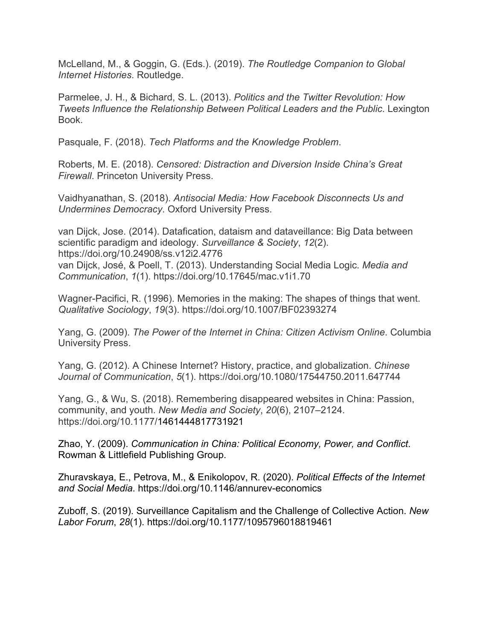McLelland, M., & Goggin, G. (Eds.). (2019). *The Routledge Companion to Global Internet Histories*. Routledge.

Parmelee, J. H., & Bichard, S. L. (2013). *Politics and the Twitter Revolution: How Tweets Influence the Relationship Between Political Leaders and the Public. Lexington* Book.

Pasquale, F. (2018). *Tech Platforms and the Knowledge Problem*.

Roberts, M. E. (2018). *Censored: Distraction and Diversion Inside China's Great Firewall*. Princeton University Press.

Vaidhyanathan, S. (2018). *Antisocial Media: How Facebook Disconnects Us and Undermines Democracy*. Oxford University Press.

van Dijck, Jose. (2014). Datafication, dataism and dataveillance: Big Data between scientific paradigm and ideology. *Surveillance & Society*, *12*(2). https://doi.org/10.24908/ss.v12i2.4776 van Dijck, José, & Poell, T. (2013). Understanding Social Media Logic. *Media and Communication*, *1*(1). https://doi.org/10.17645/mac.v1i1.70

Wagner-Pacifici, R. (1996). Memories in the making: The shapes of things that went. *Qualitative Sociology*, *19*(3). https://doi.org/10.1007/BF02393274

Yang, G. (2009). *The Power of the Internet in China: Citizen Activism Online*. Columbia University Press.

Yang, G. (2012). A Chinese Internet? History, practice, and globalization. *Chinese Journal of Communication*, *5*(1). https://doi.org/10.1080/17544750.2011.647744

Yang, G., & Wu, S. (2018). Remembering disappeared websites in China: Passion, community, and youth. *New Media and Society*, *20*(6), 2107–2124. https://doi.org/10.1177/1461444817731921

Zhao, Y. (2009). *Communication in China: Political Economy, Power, and Conflict*. Rowman & Littlefield Publishing Group.

Zhuravskaya, E., Petrova, M., & Enikolopov, R. (2020). *Political Effects of the Internet and Social Media*. https://doi.org/10.1146/annurev-economics

Zuboff, S. (2019). Surveillance Capitalism and the Challenge of Collective Action. *New Labor Forum*, *28*(1). https://doi.org/10.1177/1095796018819461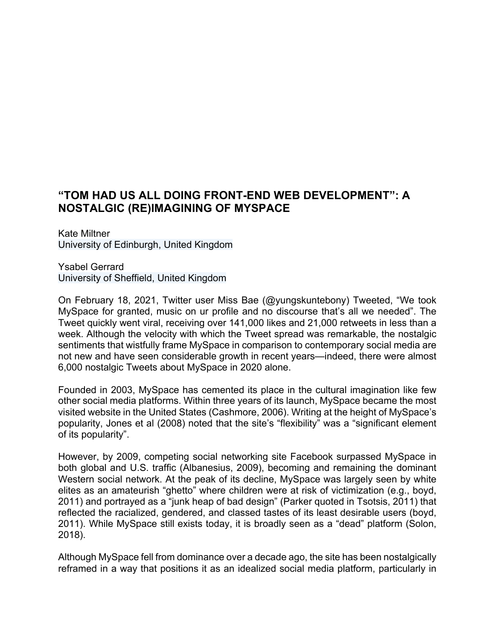# **"TOM HAD US ALL DOING FRONT-END WEB DEVELOPMENT": A NOSTALGIC (RE)IMAGINING OF MYSPACE**

Kate Miltner University of Edinburgh, United Kingdom

Ysabel Gerrard University of Sheffield, United Kingdom

On February 18, 2021, Twitter user Miss Bae (@yungskuntebony) Tweeted, "We took MySpace for granted, music on ur profile and no discourse that's all we needed". The Tweet quickly went viral, receiving over 141,000 likes and 21,000 retweets in less than a week. Although the velocity with which the Tweet spread was remarkable, the nostalgic sentiments that wistfully frame MySpace in comparison to contemporary social media are not new and have seen considerable growth in recent years—indeed, there were almost 6,000 nostalgic Tweets about MySpace in 2020 alone.

Founded in 2003, MySpace has cemented its place in the cultural imagination like few other social media platforms. Within three years of its launch, MySpace became the most visited website in the United States (Cashmore, 2006). Writing at the height of MySpace's popularity, Jones et al (2008) noted that the site's "flexibility" was a "significant element of its popularity".

However, by 2009, competing social networking site Facebook surpassed MySpace in both global and U.S. traffic (Albanesius, 2009), becoming and remaining the dominant Western social network. At the peak of its decline, MySpace was largely seen by white elites as an amateurish "ghetto" where children were at risk of victimization (e.g., boyd, 2011) and portrayed as a "junk heap of bad design" (Parker quoted in Tsotsis, 2011) that reflected the racialized, gendered, and classed tastes of its least desirable users (boyd, 2011). While MySpace still exists today, it is broadly seen as a "dead" platform (Solon, 2018).

Although MySpace fell from dominance over a decade ago, the site has been nostalgically reframed in a way that positions it as an idealized social media platform, particularly in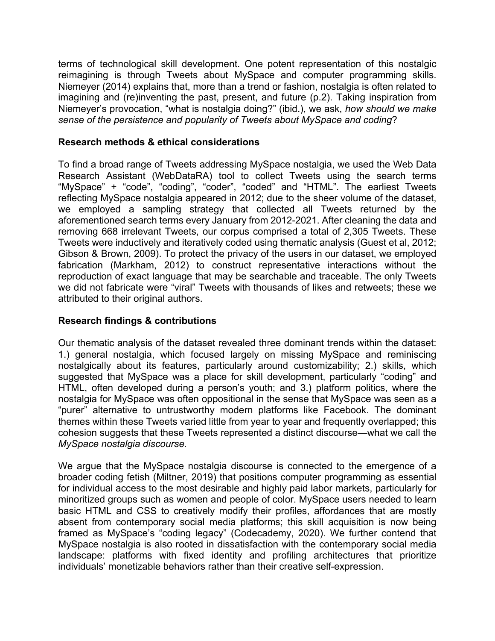terms of technological skill development. One potent representation of this nostalgic reimagining is through Tweets about MySpace and computer programming skills. Niemeyer (2014) explains that, more than a trend or fashion, nostalgia is often related to imagining and (re)inventing the past, present, and future (p.2). Taking inspiration from Niemeyer's provocation, "what is nostalgia doing?" (ibid.), we ask, *how should we make sense of the persistence and popularity of Tweets about MySpace and coding*?

#### **Research methods & ethical considerations**

To find a broad range of Tweets addressing MySpace nostalgia, we used the Web Data Research Assistant (WebDataRA) tool to collect Tweets using the search terms "MySpace" + "code", "coding", "coder", "coded" and "HTML". The earliest Tweets reflecting MySpace nostalgia appeared in 2012; due to the sheer volume of the dataset, we employed a sampling strategy that collected all Tweets returned by the aforementioned search terms every January from 2012-2021. After cleaning the data and removing 668 irrelevant Tweets, our corpus comprised a total of 2,305 Tweets. These Tweets were inductively and iteratively coded using thematic analysis (Guest et al, 2012; Gibson & Brown, 2009). To protect the privacy of the users in our dataset, we employed fabrication (Markham, 2012) to construct representative interactions without the reproduction of exact language that may be searchable and traceable. The only Tweets we did not fabricate were "viral" Tweets with thousands of likes and retweets; these we attributed to their original authors.

#### **Research findings & contributions**

Our thematic analysis of the dataset revealed three dominant trends within the dataset: 1.) general nostalgia, which focused largely on missing MySpace and reminiscing nostalgically about its features, particularly around customizability; 2.) skills, which suggested that MySpace was a place for skill development, particularly "coding" and HTML, often developed during a person's youth; and 3.) platform politics, where the nostalgia for MySpace was often oppositional in the sense that MySpace was seen as a "purer" alternative to untrustworthy modern platforms like Facebook. The dominant themes within these Tweets varied little from year to year and frequently overlapped; this cohesion suggests that these Tweets represented a distinct discourse—what we call the *MySpace nostalgia discourse.*

We argue that the MySpace nostalgia discourse is connected to the emergence of a broader coding fetish (Miltner, 2019) that positions computer programming as essential for individual access to the most desirable and highly paid labor markets, particularly for minoritized groups such as women and people of color. MySpace users needed to learn basic HTML and CSS to creatively modify their profiles, affordances that are mostly absent from contemporary social media platforms; this skill acquisition is now being framed as MySpace's "coding legacy" (Codecademy, 2020). We further contend that MySpace nostalgia is also rooted in dissatisfaction with the contemporary social media landscape: platforms with fixed identity and profiling architectures that prioritize individuals' monetizable behaviors rather than their creative self-expression.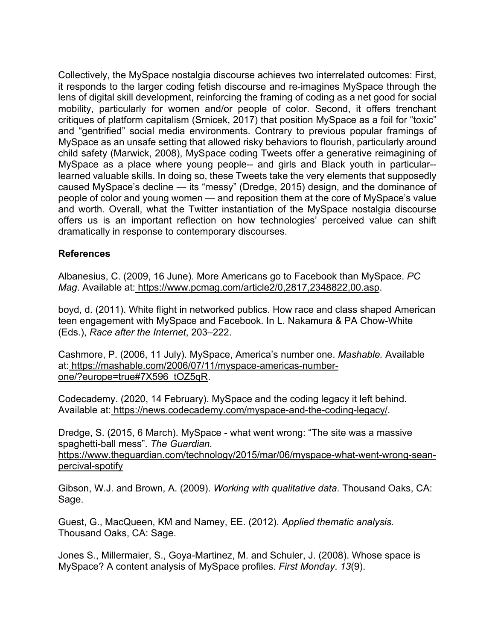Collectively, the MySpace nostalgia discourse achieves two interrelated outcomes: First, it responds to the larger coding fetish discourse and re-imagines MySpace through the lens of digital skill development, reinforcing the framing of coding as a net good for social mobility, particularly for women and/or people of color. Second, it offers trenchant critiques of platform capitalism (Srnicek, 2017) that position MySpace as a foil for "toxic" and "gentrified" social media environments. Contrary to previous popular framings of MySpace as an unsafe setting that allowed risky behaviors to flourish, particularly around child safety (Marwick, 2008), MySpace coding Tweets offer a generative reimagining of MySpace as a place where young people-- and girls and Black youth in particular- learned valuable skills. In doing so, these Tweets take the very elements that supposedly caused MySpace's decline — its "messy" (Dredge, 2015) design, and the dominance of people of color and young women — and reposition them at the core of MySpace's value and worth. Overall, what the Twitter instantiation of the MySpace nostalgia discourse offers us is an important reflection on how technologies' perceived value can shift dramatically in response to contemporary discourses.

#### **References**

Albanesius, C. (2009, 16 June). More Americans go to Facebook than MySpace. *PC Mag*. Available at: https://www.pcmag.com/article2/0,2817,2348822,00.asp.

boyd, d. (2011). White flight in networked publics. How race and class shaped American teen engagement with MySpace and Facebook. In L. Nakamura & PA Chow-White (Eds.), *Race after the Internet*, 203–222.

Cashmore, P. (2006, 11 July). MySpace, America's number one. *Mashable.* Available at: https://mashable.com/2006/07/11/myspace-americas-numberone/?europe=true#7X596\_tOZ5qR.

Codecademy. (2020, 14 February). MySpace and the coding legacy it left behind. Available at: https://news.codecademy.com/myspace-and-the-coding-legacy/.

Dredge, S. (2015, 6 March). MySpace - what went wrong: "The site was a massive spaghetti-ball mess". *The Guardian.* 

https://www.theguardian.com/technology/2015/mar/06/myspace-what-went-wrong-seanpercival-spotify

Gibson, W.J. and Brown, A. (2009). *Working with qualitative data*. Thousand Oaks, CA: Sage.

Guest, G., MacQueen, KM and Namey, EE. (2012). *Applied thematic analysis.* Thousand Oaks, CA: Sage.

Jones S., Millermaier, S., Goya-Martinez, M. and Schuler, J. (2008). Whose space is MySpace? A content analysis of MySpace profiles. *First Monday*. *13*(9).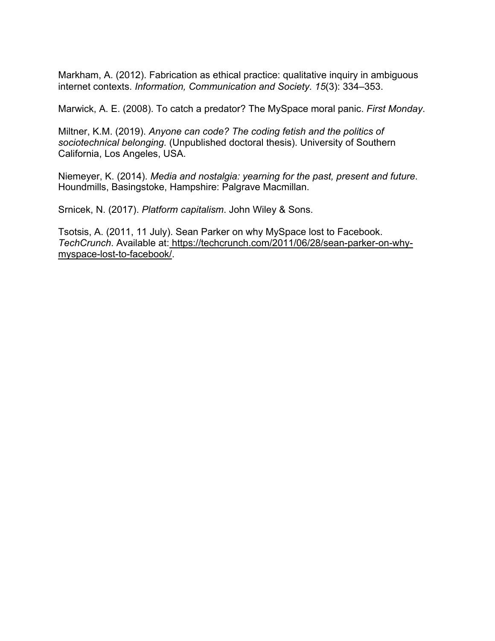Markham, A. (2012). Fabrication as ethical practice: qualitative inquiry in ambiguous internet contexts. *Information, Communication and Society. 15*(3): 334–353.

Marwick, A. E. (2008). To catch a predator? The MySpace moral panic. *First Monday*.

Miltner, K.M. (2019). *Anyone can code? The coding fetish and the politics of sociotechnical belonging.* (Unpublished doctoral thesis). University of Southern California, Los Angeles, USA.

Niemeyer, K. (2014). *Media and nostalgia: yearning for the past, present and future*. Houndmills, Basingstoke, Hampshire: Palgrave Macmillan.

Srnicek, N. (2017). *Platform capitalism*. John Wiley & Sons.

Tsotsis, A. (2011, 11 July). Sean Parker on why MySpace lost to Facebook. *TechCrunch*. Available at: https://techcrunch.com/2011/06/28/sean-parker-on-whymyspace-lost-to-facebook/.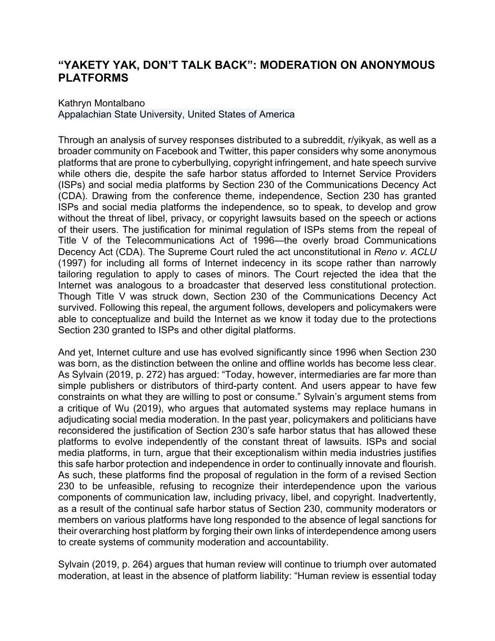### **"YAKETY YAK, DON'T TALK BACK": MODERATION ON ANONYMOUS PLATFORMS**

#### Kathryn Montalbano

Appalachian State University, United States of America

Through an analysis of survey responses distributed to a subreddit, r/yikyak, as well as a broader community on Facebook and Twitter, this paper considers why some anonymous platforms that are prone to cyberbullying, copyright infringement, and hate speech survive while others die, despite the safe harbor status afforded to Internet Service Providers (ISPs) and social media platforms by Section 230 of the Communications Decency Act (CDA). Drawing from the conference theme, independence, Section 230 has granted ISPs and social media platforms the independence, so to speak, to develop and grow without the threat of libel, privacy, or copyright lawsuits based on the speech or actions of their users. The justification for minimal regulation of ISPs stems from the repeal of Title V of the Telecommunications Act of 1996—the overly broad Communications Decency Act (CDA). The Supreme Court ruled the act unconstitutional in *Reno v. ACLU*  (1997) for including all forms of Internet indecency in its scope rather than narrowly tailoring regulation to apply to cases of minors. The Court rejected the idea that the Internet was analogous to a broadcaster that deserved less constitutional protection. Though Title V was struck down, Section 230 of the Communications Decency Act survived. Following this repeal, the argument follows, developers and policymakers were able to conceptualize and build the Internet as we know it today due to the protections Section 230 granted to ISPs and other digital platforms.

And yet, Internet culture and use has evolved significantly since 1996 when Section 230 was born, as the distinction between the online and offline worlds has become less clear. As Sylvain (2019, p. 272) has argued: "Today, however, intermediaries are far more than simple publishers or distributors of third-party content. And users appear to have few constraints on what they are willing to post or consume." Sylvain's argument stems from a critique of Wu (2019), who argues that automated systems may replace humans in adjudicating social media moderation. In the past year, policymakers and politicians have reconsidered the justification of Section 230's safe harbor status that has allowed these platforms to evolve independently of the constant threat of lawsuits. ISPs and social media platforms, in turn, argue that their exceptionalism within media industries justifies this safe harbor protection and independence in order to continually innovate and flourish. As such, these platforms find the proposal of regulation in the form of a revised Section 230 to be unfeasible, refusing to recognize their interdependence upon the various components of communication law, including privacy, libel, and copyright. Inadvertently, as a result of the continual safe harbor status of Section 230, community moderators or members on various platforms have long responded to the absence of legal sanctions for their overarching host platform by forging their own links of interdependence among users to create systems of community moderation and accountability.

Sylvain (2019, p. 264) argues that human review will continue to triumph over automated moderation, at least in the absence of platform liability: "Human review is essential today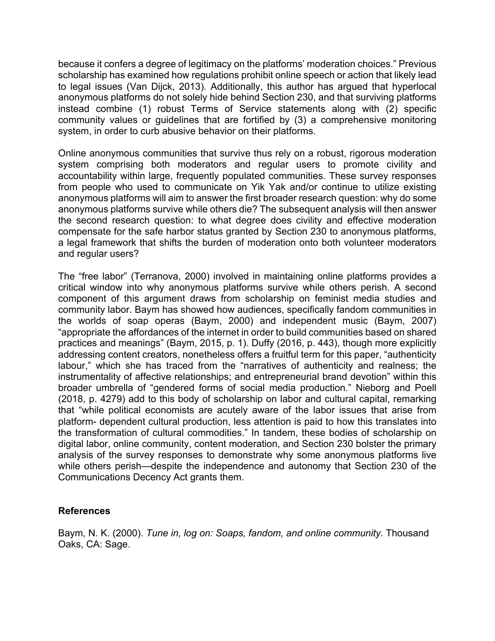because it confers a degree of legitimacy on the platforms' moderation choices." Previous scholarship has examined how regulations prohibit online speech or action that likely lead to legal issues (Van Dijck, 2013). Additionally, this author has argued that hyperlocal anonymous platforms do not solely hide behind Section 230, and that surviving platforms instead combine (1) robust Terms of Service statements along with (2) specific community values or guidelines that are fortified by (3) a comprehensive monitoring system, in order to curb abusive behavior on their platforms.

Online anonymous communities that survive thus rely on a robust, rigorous moderation system comprising both moderators and regular users to promote civility and accountability within large, frequently populated communities. These survey responses from people who used to communicate on Yik Yak and/or continue to utilize existing anonymous platforms will aim to answer the first broader research question: why do some anonymous platforms survive while others die? The subsequent analysis will then answer the second research question: to what degree does civility and effective moderation compensate for the safe harbor status granted by Section 230 to anonymous platforms, a legal framework that shifts the burden of moderation onto both volunteer moderators and regular users?

The "free labor" (Terranova, 2000) involved in maintaining online platforms provides a critical window into why anonymous platforms survive while others perish. A second component of this argument draws from scholarship on feminist media studies and community labor. Baym has showed how audiences, specifically fandom communities in the worlds of soap operas (Baym, 2000) and independent music (Baym, 2007) "appropriate the affordances of the internet in order to build communities based on shared practices and meanings" (Baym, 2015, p. 1). Duffy (2016, p. 443), though more explicitly addressing content creators, nonetheless offers a fruitful term for this paper, "authenticity labour," which she has traced from the "narratives of authenticity and realness; the instrumentality of affective relationships; and entrepreneurial brand devotion" within this broader umbrella of "gendered forms of social media production." Nieborg and Poell (2018, p. 4279) add to this body of scholarship on labor and cultural capital, remarking that "while political economists are acutely aware of the labor issues that arise from platform- dependent cultural production, less attention is paid to how this translates into the transformation of cultural commodities." In tandem, these bodies of scholarship on digital labor, online community, content moderation, and Section 230 bolster the primary analysis of the survey responses to demonstrate why some anonymous platforms live while others perish—despite the independence and autonomy that Section 230 of the Communications Decency Act grants them.

#### **References**

Baym, N. K. (2000). *Tune in, log on: Soaps, fandom, and online community*. Thousand Oaks, CA: Sage.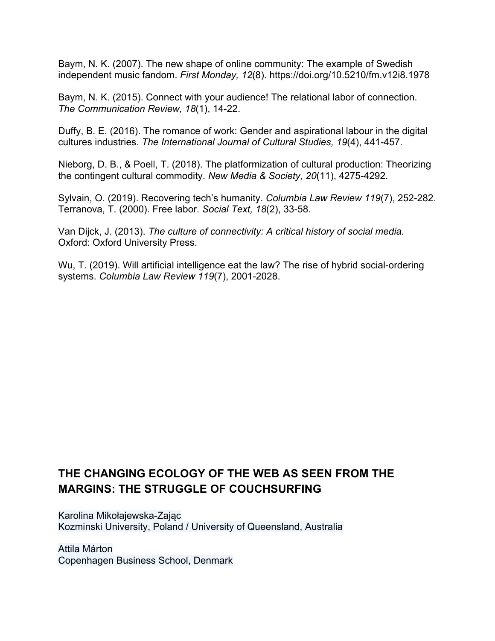Baym, N. K. (2007). The new shape of online community: The example of Swedish independent music fandom. *First Monday, 12*(8). https://doi.org/10.5210/fm.v12i8.1978

Baym, N. K. (2015). Connect with your audience! The relational labor of connection. *The Communication Review, 18*(1), 14-22.

Duffy, B. E. (2016). The romance of work: Gender and aspirational labour in the digital cultures industries. *The International Journal of Cultural Studies, 19*(4), 441-457.

Nieborg, D. B., & Poell, T. (2018). The platformization of cultural production: Theorizing the contingent cultural commodity. *New Media & Society, 20*(11), 4275-4292.

Sylvain, O. (2019). Recovering tech's humanity. *Columbia Law Review 119*(7), 252-282. Terranova, T. (2000). Free labor. *Social Text, 18*(2), 33-58.

Van Dijck, J. (2013). *The culture of connectivity: A critical history of social media.*  Oxford: Oxford University Press.

Wu, T. (2019). Will artificial intelligence eat the law? The rise of hybrid social-ordering systems. *Columbia Law Review 119*(7), 2001-2028.

# **THE CHANGING ECOLOGY OF THE WEB AS SEEN FROM THE MARGINS: THE STRUGGLE OF COUCHSURFING**

Karolina Mikołajewska-Zając Kozminski University, Poland / University of Queensland, Australia

Attila Márton Copenhagen Business School, Denmark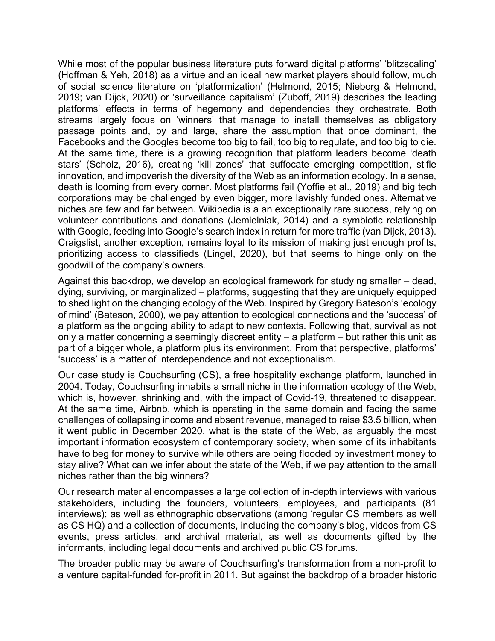While most of the popular business literature puts forward digital platforms' 'blitzscaling' (Hoffman & Yeh, 2018) as a virtue and an ideal new market players should follow, much of social science literature on 'platformization' (Helmond, 2015; Nieborg & Helmond, 2019; van Dijck, 2020) or 'surveillance capitalism' (Zuboff, 2019) describes the leading platforms' effects in terms of hegemony and dependencies they orchestrate. Both streams largely focus on 'winners' that manage to install themselves as obligatory passage points and, by and large, share the assumption that once dominant, the Facebooks and the Googles become too big to fail, too big to regulate, and too big to die. At the same time, there is a growing recognition that platform leaders become 'death stars' (Scholz, 2016), creating 'kill zones' that suffocate emerging competition, stifle innovation, and impoverish the diversity of the Web as an information ecology. In a sense, death is looming from every corner. Most platforms fail (Yoffie et al., 2019) and big tech corporations may be challenged by even bigger, more lavishly funded ones. Alternative niches are few and far between. Wikipedia is a an exceptionally rare success, relying on volunteer contributions and donations (Jemielniak, 2014) and a symbiotic relationship with Google, feeding into Google's search index in return for more traffic (van Dijck, 2013). Craigslist, another exception, remains loyal to its mission of making just enough profits, prioritizing access to classifieds (Lingel, 2020), but that seems to hinge only on the goodwill of the company's owners.

Against this backdrop, we develop an ecological framework for studying smaller – dead, dying, surviving, or marginalized – platforms, suggesting that they are uniquely equipped to shed light on the changing ecology of the Web. Inspired by Gregory Bateson's 'ecology of mind' (Bateson, 2000), we pay attention to ecological connections and the 'success' of a platform as the ongoing ability to adapt to new contexts. Following that, survival as not only a matter concerning a seemingly discreet entity – a platform – but rather this unit as part of a bigger whole, a platform plus its environment. From that perspective, platforms' 'success' is a matter of interdependence and not exceptionalism.

Our case study is Couchsurfing (CS), a free hospitality exchange platform, launched in 2004. Today, Couchsurfing inhabits a small niche in the information ecology of the Web, which is, however, shrinking and, with the impact of Covid-19, threatened to disappear. At the same time, Airbnb, which is operating in the same domain and facing the same challenges of collapsing income and absent revenue, managed to raise \$3.5 billion, when it went public in December 2020. what is the state of the Web, as arguably the most important information ecosystem of contemporary society, when some of its inhabitants have to beg for money to survive while others are being flooded by investment money to stay alive? What can we infer about the state of the Web, if we pay attention to the small niches rather than the big winners?

Our research material encompasses a large collection of in-depth interviews with various stakeholders, including the founders, volunteers, employees, and participants (81 interviews); as well as ethnographic observations (among 'regular CS members as well as CS HQ) and a collection of documents, including the company's blog, videos from CS events, press articles, and archival material, as well as documents gifted by the informants, including legal documents and archived public CS forums.

The broader public may be aware of Couchsurfing's transformation from a non-profit to a venture capital-funded for-profit in 2011. But against the backdrop of a broader historic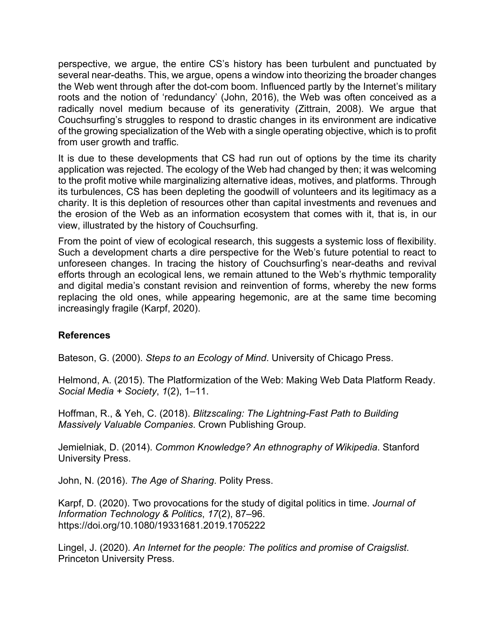perspective, we argue, the entire CS's history has been turbulent and punctuated by several near-deaths. This, we argue, opens a window into theorizing the broader changes the Web went through after the dot-com boom. Influenced partly by the Internet's military roots and the notion of 'redundancy' (John, 2016), the Web was often conceived as a radically novel medium because of its generativity (Zittrain, 2008). We argue that Couchsurfing's struggles to respond to drastic changes in its environment are indicative of the growing specialization of the Web with a single operating objective, which is to profit from user growth and traffic.

It is due to these developments that CS had run out of options by the time its charity application was rejected. The ecology of the Web had changed by then; it was welcoming to the profit motive while marginalizing alternative ideas, motives, and platforms. Through its turbulences, CS has been depleting the goodwill of volunteers and its legitimacy as a charity. It is this depletion of resources other than capital investments and revenues and the erosion of the Web as an information ecosystem that comes with it, that is, in our view, illustrated by the history of Couchsurfing.

From the point of view of ecological research, this suggests a systemic loss of flexibility. Such a development charts a dire perspective for the Web's future potential to react to unforeseen changes. In tracing the history of Couchsurfing's near-deaths and revival efforts through an ecological lens, we remain attuned to the Web's rhythmic temporality and digital media's constant revision and reinvention of forms, whereby the new forms replacing the old ones, while appearing hegemonic, are at the same time becoming increasingly fragile (Karpf, 2020).

#### **References**

Bateson, G. (2000). *Steps to an Ecology of Mind*. University of Chicago Press.

Helmond, A. (2015). The Platformization of the Web: Making Web Data Platform Ready. *Social Media + Society*, *1*(2), 1–11.

Hoffman, R., & Yeh, C. (2018). *Blitzscaling: The Lightning-Fast Path to Building Massively Valuable Companies*. Crown Publishing Group.

Jemielniak, D. (2014). *Common Knowledge? An ethnography of Wikipedia*. Stanford University Press.

John, N. (2016). *The Age of Sharing*. Polity Press.

Karpf, D. (2020). Two provocations for the study of digital politics in time. *Journal of Information Technology & Politics*, *17*(2), 87–96. https://doi.org/10.1080/19331681.2019.1705222

Lingel, J. (2020). *An Internet for the people: The politics and promise of Craigslist*. Princeton University Press.